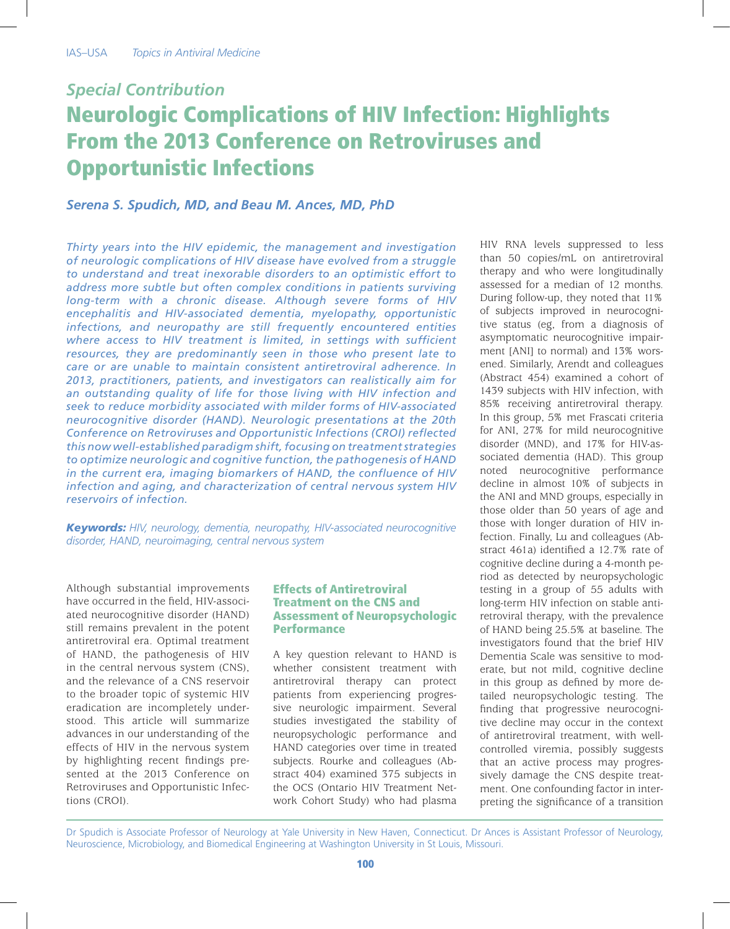# *Special Contribution*

# Neurologic Complications of HIV Infection: Highlights From the 2013 Conference on Retroviruses and Opportunistic Infections

# *Serena S. Spudich, MD, and Beau M. Ances, MD, PhD*

*Thirty years into the HIV epidemic, the management and investigation of neurologic complications of HIV disease have evolved from a struggle to understand and treat inexorable disorders to an optimistic effort to address more subtle but often complex conditions in patients surviving long-term with a chronic disease. Although severe forms of HIV encephalitis and HIV-associated dementia, myelopathy, opportunistic infections, and neuropathy are still frequently encountered entities where access to HIV treatment is limited, in settings with sufficient resources, they are predominantly seen in those who present late to care or are unable to maintain consistent antiretroviral adherence. In 2013, practitioners, patients, and investigators can realistically aim for an outstanding quality of life for those living with HIV infection and seek to reduce morbidity associated with milder forms of HIV-associated neurocognitive disorder (HAND). Neurologic presentations at the 20th Conference on Retroviruses and Opportunistic Infections (CROI) reflected this now well-established paradigm shift, focusing on treatment strategies to optimize neurologic and cognitive function, the pathogenesis of HAND in the current era, imaging biomarkers of HAND, the confluence of HIV infection and aging, and characterization of central nervous system HIV reservoirs of infection.*

*Keywords: HIV, neurology, dementia, neuropathy, HIV-associated neurocognitive disorder, HAND, neuroimaging, central nervous system*

Although substantial improvements have occurred in the field, HIV-associated neurocognitive disorder (HAND) still remains prevalent in the potent antiretroviral era. Optimal treatment of HAND, the pathogenesis of HIV in the central nervous system (CNS), and the relevance of a CNS reservoir to the broader topic of systemic HIV eradication are incompletely understood. This article will summarize advances in our understanding of the effects of HIV in the nervous system by highlighting recent findings presented at the 2013 Conference on Retroviruses and Opportunistic Infections (CROI).

### Effects of Antiretroviral Treatment on the CNS and Assessment of Neuropsychologic **Performance**

A key question relevant to HAND is whether consistent treatment with antiretroviral therapy can protect patients from experiencing progressive neurologic impairment. Several studies investigated the stability of neuropsychologic performance and HAND categories over time in treated subjects. Rourke and colleagues (Abstract 404) examined 375 subjects in the OCS (Ontario HIV Treatment Network Cohort Study) who had plasma

HIV RNA levels suppressed to less than 50 copies/mL on antiretroviral therapy and who were longitudinally assessed for a median of 12 months. During follow-up, they noted that 11% of subjects improved in neurocognitive status (eg, from a diagnosis of asymptomatic neurocognitive impairment [ANI] to normal) and 13% worsened. Similarly, Arendt and colleagues (Abstract 454) examined a cohort of 1439 subjects with HIV infection, with 85% receiving antiretroviral therapy. In this group, 5% met Frascati criteria for ANI, 27% for mild neurocognitive disorder (MND), and 17% for HIV-associated dementia (HAD). This group noted neurocognitive performance decline in almost 10% of subjects in the ANI and MND groups, especially in those older than 50 years of age and those with longer duration of HIV infection. Finally, Lu and colleagues (Abstract 461a) identified a 12.7% rate of cognitive decline during a 4-month period as detected by neuropsychologic testing in a group of 55 adults with long-term HIV infection on stable antiretroviral therapy, with the prevalence of HAND being 25.5% at baseline. The investigators found that the brief HIV Dementia Scale was sensitive to moderate, but not mild, cognitive decline in this group as defined by more detailed neuropsychologic testing. The finding that progressive neurocognitive decline may occur in the context of antiretroviral treatment, with wellcontrolled viremia, possibly suggests that an active process may progressively damage the CNS despite treatment. One confounding factor in interpreting the significance of a transition

Dr Spudich is Associate Professor of Neurology at Yale University in New Haven, Connecticut. Dr Ances is Assistant Professor of Neurology, Neuroscience, Microbiology, and Biomedical Engineering at Washington University in St Louis, Missouri.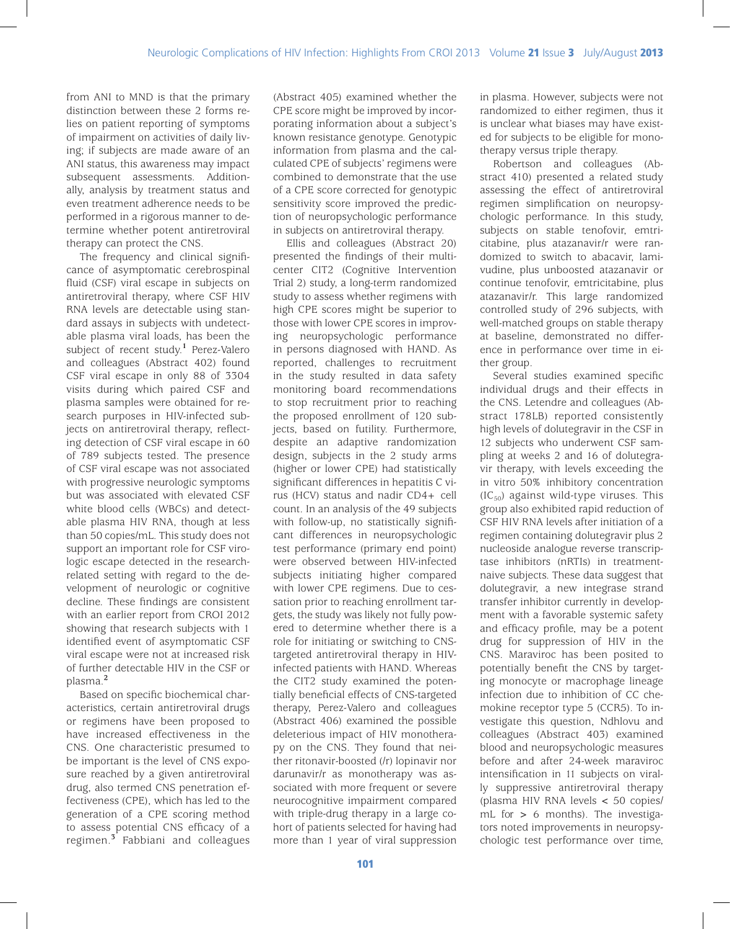from ANI to MND is that the primary distinction between these 2 forms relies on patient reporting of symptoms of impairment on activities of daily living; if subjects are made aware of an ANI status, this awareness may impact subsequent assessments. Additionally, analysis by treatment status and even treatment adherence needs to be performed in a rigorous manner to determine whether potent antiretroviral therapy can protect the CNS.

The frequency and clinical significance of asymptomatic cerebrospinal fluid (CSF) viral escape in subjects on antiretroviral therapy, where CSF HIV RNA levels are detectable using standard assays in subjects with undetectable plasma viral loads, has been the subject of recent study.**<sup>1</sup>** Perez-Valero and colleagues (Abstract 402) found CSF viral escape in only 88 of 3304 visits during which paired CSF and plasma samples were obtained for research purposes in HIV-infected subjects on antiretroviral therapy, reflecting detection of CSF viral escape in 60 of 789 subjects tested. The presence of CSF viral escape was not associated with progressive neurologic symptoms but was associated with elevated CSF white blood cells (WBCs) and detectable plasma HIV RNA, though at less than 50 copies/mL. This study does not support an important role for CSF virologic escape detected in the researchrelated setting with regard to the development of neurologic or cognitive decline. These findings are consistent with an earlier report from CROI 2012 showing that research subjects with 1 identified event of asymptomatic CSF viral escape were not at increased risk of further detectable HIV in the CSF or plasma.**<sup>2</sup>**

Based on specific biochemical characteristics, certain antiretroviral drugs or regimens have been proposed to have increased effectiveness in the CNS. One characteristic presumed to be important is the level of CNS exposure reached by a given antiretroviral drug, also termed CNS penetration effectiveness (CPE), which has led to the generation of a CPE scoring method to assess potential CNS efficacy of a regimen.**<sup>3</sup>** Fabbiani and colleagues

(Abstract 405) examined whether the CPE score might be improved by incorporating information about a subject's known resistance genotype. Genotypic information from plasma and the calculated CPE of subjects' regimens were combined to demonstrate that the use of a CPE score corrected for genotypic sensitivity score improved the prediction of neuropsychologic performance in subjects on antiretroviral therapy.

Ellis and colleagues (Abstract 20) presented the findings of their multicenter CIT2 (Cognitive Intervention Trial 2) study, a long-term randomized study to assess whether regimens with high CPE scores might be superior to those with lower CPE scores in improving neuropsychologic performance in persons diagnosed with HAND. As reported, challenges to recruitment in the study resulted in data safety monitoring board recommendations to stop recruitment prior to reaching the proposed enrollment of 120 subjects, based on futility. Furthermore, despite an adaptive randomization design, subjects in the 2 study arms (higher or lower CPE) had statistically significant differences in hepatitis C virus (HCV) status and nadir CD4+ cell count. In an analysis of the 49 subjects with follow-up, no statistically significant differences in neuropsychologic test performance (primary end point) were observed between HIV-infected subjects initiating higher compared with lower CPE regimens. Due to cessation prior to reaching enrollment targets, the study was likely not fully powered to determine whether there is a role for initiating or switching to CNStargeted antiretroviral therapy in HIVinfected patients with HAND. Whereas the CIT2 study examined the potentially beneficial effects of CNS-targeted therapy, Perez-Valero and colleagues (Abstract 406) examined the possible deleterious impact of HIV monotherapy on the CNS. They found that neither ritonavir-boosted (/r) lopinavir nor darunavir/r as monotherapy was associated with more frequent or severe neurocognitive impairment compared with triple-drug therapy in a large cohort of patients selected for having had more than 1 year of viral suppression

in plasma. However, subjects were not randomized to either regimen, thus it is unclear what biases may have existed for subjects to be eligible for monotherapy versus triple therapy.

Robertson and colleagues (Abstract 410) presented a related study assessing the effect of antiretroviral regimen simplification on neuropsychologic performance. In this study, subjects on stable tenofovir, emtricitabine, plus atazanavir/r were randomized to switch to abacavir, lamivudine, plus unboosted atazanavir or continue tenofovir, emtricitabine, plus atazanavir/r. This large randomized controlled study of 296 subjects, with well-matched groups on stable therapy at baseline, demonstrated no difference in performance over time in either group.

Several studies examined specific individual drugs and their effects in the CNS. Letendre and colleagues (Abstract 178LB) reported consistently high levels of dolutegravir in the CSF in 12 subjects who underwent CSF sampling at weeks 2 and 16 of dolutegravir therapy, with levels exceeding the in vitro 50% inhibitory concentration  $(IC_{50})$  against wild-type viruses. This group also exhibited rapid reduction of CSF HIV RNA levels after initiation of a regimen containing dolutegravir plus 2 nucleoside analogue reverse transcriptase inhibitors (nRTIs) in treatmentnaive subjects. These data suggest that dolutegravir, a new integrase strand transfer inhibitor currently in development with a favorable systemic safety and efficacy profile, may be a potent drug for suppression of HIV in the CNS. Maraviroc has been posited to potentially benefit the CNS by targeting monocyte or macrophage lineage infection due to inhibition of CC chemokine receptor type 5 (CCR5). To investigate this question, Ndhlovu and colleagues (Abstract 403) examined blood and neuropsychologic measures before and after 24-week maraviroc intensification in 11 subjects on virally suppressive antiretroviral therapy (plasma HIV RNA levels < 50 copies/ mL for > 6 months). The investigators noted improvements in neuropsychologic test performance over time,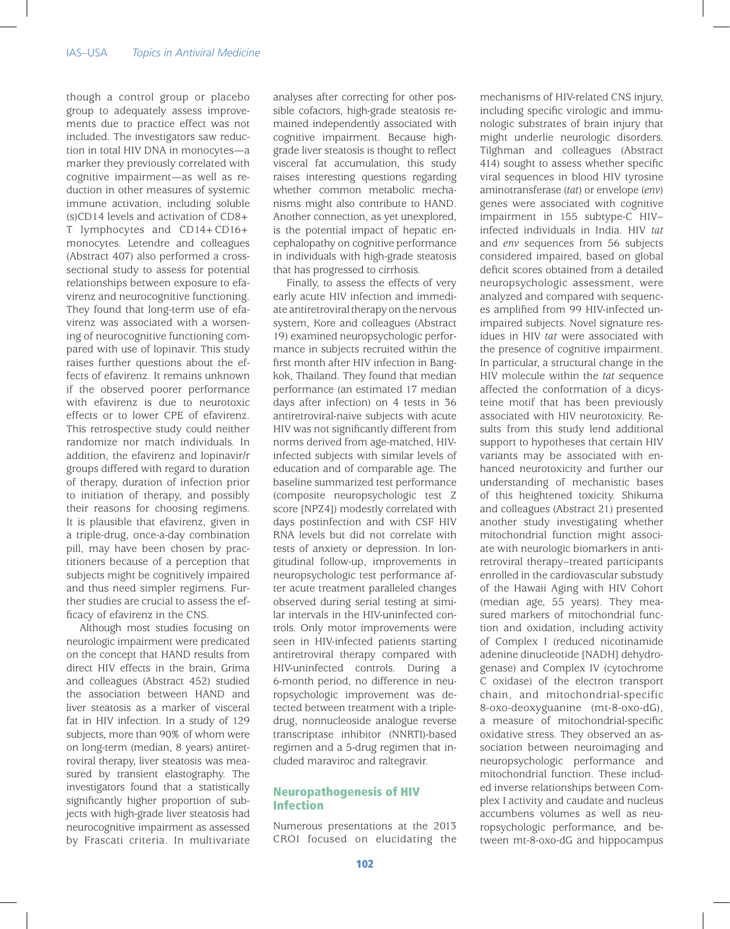though a control group or placebo group to adequately assess improvements due to practice effect was not included. The investigators saw reduction in total HIV DNA in monocytes—a marker they previously correlated with cognitive impairment—as well as reduction in other measures of systemic immune activation, including soluble (s)CD14 levels and activation of CD8+ T lymphocytes and CD14+CD16+ monocytes. Letendre and colleagues (Abstract 407) also performed a crosssectional study to assess for potential relationships between exposure to efavirenz and neurocognitive functioning. They found that long-term use of efavirenz was associated with a worsening of neurocognitive functioning compared with use of lopinavir. This study raises further questions about the effects of efavirenz. It remains unknown if the observed poorer performance with efavirenz is due to neurotoxic effects or to lower CPE of efavirenz. This retrospective study could neither randomize nor match individuals. In addition, the efavirenz and lopinavir/r groups differed with regard to duration of therapy, duration of infection prior to initiation of therapy, and possibly their reasons for choosing regimens. It is plausible that efavirenz, given in a triple-drug, once-a-day combination pill, may have been chosen by practitioners because of a perception that subjects might be cognitively impaired and thus need simpler regimens. Further studies are crucial to assess the efficacy of efavirenz in the CNS.

Although most studies focusing on neurologic impairment were predicated on the concept that HAND results from direct HIV effects in the brain, Grima and colleagues (Abstract 452) studied the association between HAND and liver steatosis as a marker of visceral fat in HIV infection. In a study of 129 subjects, more than 90% of whom were on long-term (median, 8 years) antiretroviral therapy, liver steatosis was measured by transient elastography. The investigators found that a statistically significantly higher proportion of subjects with high-grade liver steatosis had neurocognitive impairment as assessed by Frascati criteria. In multivariate

analyses after correcting for other possible cofactors, high-grade steatosis remained independently associated with cognitive impairment. Because highgrade liver steatosis is thought to reflect visceral fat accumulation, this study raises interesting questions regarding whether common metabolic mechanisms might also contribute to HAND. Another connection, as yet unexplored, is the potential impact of hepatic encephalopathy on cognitive performance in individuals with high-grade steatosis that has progressed to cirrhosis.

Finally, to assess the effects of very early acute HIV infection and immediate antiretroviral therapy on the nervous system, Kore and colleagues (Abstract 19) examined neuropsychologic performance in subjects recruited within the first month after HIV infection in Bangkok, Thailand. They found that median performance (an estimated 17 median days after infection) on 4 tests in 36 antiretroviral-naive subjects with acute HIV was not significantly different from norms derived from age-matched, HIVinfected subjects with similar levels of education and of comparable age. The baseline summarized test performance (composite neuropsychologic test Z score [NPZ4]) modestly correlated with days postinfection and with CSF HIV RNA levels but did not correlate with tests of anxiety or depression. In longitudinal follow-up, improvements in neuropsychologic test performance after acute treatment paralleled changes observed during serial testing at similar intervals in the HIV-uninfected controls. Only motor improvements were seen in HIV-infected patients starting antiretroviral therapy compared with HIV-uninfected controls. During a 6-month period, no difference in neuropsychologic improvement was detected between treatment with a tripledrug, nonnucleoside analogue reverse transcriptase inhibitor (NNRTI)-based regimen and a 5-drug regimen that included maraviroc and raltegravir.

#### Neuropathogenesis of HIV Infection

Numerous presentations at the 2013 CROI focused on elucidating the mechanisms of HIV-related CNS injury, including specific virologic and immunologic substrates of brain injury that might underlie neurologic disorders. Tilghman and colleagues (Abstract 414) sought to assess whether specific viral sequences in blood HIV tyrosine aminotransferase (*tat*) or envelope (*env*) genes were associated with cognitive impairment in 155 subtype-C HIV– infected individuals in India. HIV *tat* and *env* sequences from 56 subjects considered impaired, based on global deficit scores obtained from a detailed neuropsychologic assessment, were analyzed and compared with sequences amplified from 99 HIV-infected unimpaired subjects. Novel signature residues in HIV *tat* were associated with the presence of cognitive impairment. In particular, a structural change in the HIV molecule within the *tat* sequence affected the conformation of a dicysteine motif that has been previously associated with HIV neurotoxicity. Results from this study lend additional support to hypotheses that certain HIV variants may be associated with enhanced neurotoxicity and further our understanding of mechanistic bases of this heightened toxicity. Shikuma and colleagues (Abstract 21) presented another study investigating whether mitochondrial function might associate with neurologic biomarkers in antiretroviral therapy–treated participants enrolled in the cardiovascular substudy of the Hawaii Aging with HIV Cohort (median age, 55 years). They measured markers of mitochondrial function and oxidation, including activity of Complex I (reduced nicotinamide adenine dinucleotide [NADH] dehydrogenase) and Complex IV (cytochrome C oxidase) of the electron transport chain, and mitochondrial-specific 8-oxo-deoxyguanine (mt-8-oxo-dG), a measure of mitochondrial-specific oxidative stress. They observed an association between neuroimaging and neuropsychologic performance and mitochondrial function. These included inverse relationships between Complex I activity and caudate and nucleus accumbens volumes as well as neuropsychologic performance, and between mt-8-oxo-dG and hippocampus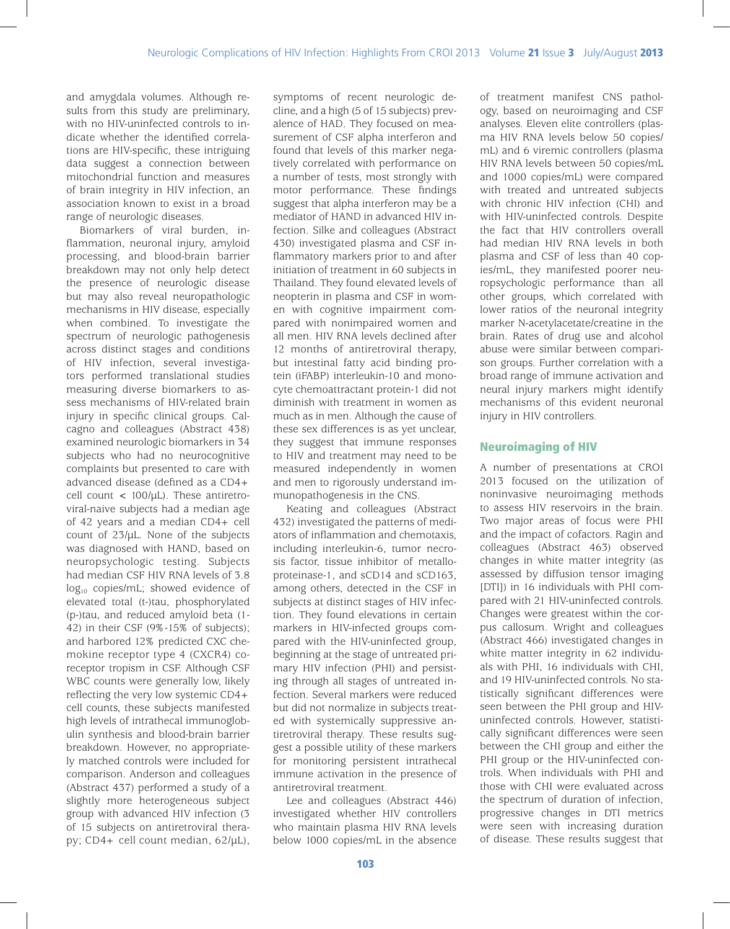and amygdala volumes. Although results from this study are preliminary, with no HIV-uninfected controls to indicate whether the identified correlations are HIV-specific, these intriguing data suggest a connection between mitochondrial function and measures of brain integrity in HIV infection, an association known to exist in a broad range of neurologic diseases.

Biomarkers of viral burden, inflammation, neuronal injury, amyloid processing, and blood-brain barrier breakdown may not only help detect the presence of neurologic disease but may also reveal neuropathologic mechanisms in HIV disease, especially when combined. To investigate the spectrum of neurologic pathogenesis across distinct stages and conditions of HIV infection, several investigators performed translational studies measuring diverse biomarkers to assess mechanisms of HIV-related brain injury in specific clinical groups. Calcagno and colleagues (Abstract 438) examined neurologic biomarkers in 34 subjects who had no neurocognitive complaints but presented to care with advanced disease (defined as a CD4+ cell count  $\langle$  100/ $\mu$ L). These antiretroviral-naive subjects had a median age of 42 years and a median CD4+ cell count of 23/µL. None of the subjects was diagnosed with HAND, based on neuropsychologic testing. Subjects had median CSF HIV RNA levels of 3.8  $log_{10}$  copies/mL; showed evidence of elevated total (t-)tau, phosphorylated (p-)tau, and reduced amyloid beta (1- 42) in their CSF (9%-15% of subjects); and harbored 12% predicted CXC chemokine receptor type 4 (CXCR4) coreceptor tropism in CSF. Although CSF WBC counts were generally low, likely reflecting the very low systemic CD4+ cell counts, these subjects manifested high levels of intrathecal immunoglobulin synthesis and blood-brain barrier breakdown. However, no appropriately matched controls were included for comparison. Anderson and colleagues (Abstract 437) performed a study of a slightly more heterogeneous subject group with advanced HIV infection (3 of 15 subjects on antiretroviral therapy; CD4+ cell count median, 62/µL),

symptoms of recent neurologic decline, and a high (5 of 15 subjects) prevalence of HAD. They focused on measurement of CSF alpha interferon and found that levels of this marker negatively correlated with performance on a number of tests, most strongly with motor performance. These findings suggest that alpha interferon may be a mediator of HAND in advanced HIV infection. Silke and colleagues (Abstract 430) investigated plasma and CSF inflammatory markers prior to and after initiation of treatment in 60 subjects in Thailand. They found elevated levels of neopterin in plasma and CSF in women with cognitive impairment compared with nonimpaired women and all men. HIV RNA levels declined after 12 months of antiretroviral therapy, but intestinal fatty acid binding protein (iFABP) interleukin-10 and monocyte chemoattractant protein-1 did not diminish with treatment in women as much as in men. Although the cause of these sex differences is as yet unclear, they suggest that immune responses to HIV and treatment may need to be measured independently in women and men to rigorously understand immunopathogenesis in the CNS.

Keating and colleagues (Abstract 432) investigated the patterns of mediators of inflammation and chemotaxis, including interleukin-6, tumor necrosis factor, tissue inhibitor of metalloproteinase-1, and sCD14 and sCD163, among others, detected in the CSF in subjects at distinct stages of HIV infection. They found elevations in certain markers in HIV-infected groups compared with the HIV-uninfected group, beginning at the stage of untreated primary HIV infection (PHI) and persisting through all stages of untreated infection. Several markers were reduced but did not normalize in subjects treated with systemically suppressive antiretroviral therapy. These results suggest a possible utility of these markers for monitoring persistent intrathecal immune activation in the presence of antiretroviral treatment.

Lee and colleagues (Abstract 446) investigated whether HIV controllers who maintain plasma HIV RNA levels below 1000 copies/mL in the absence of treatment manifest CNS pathology, based on neuroimaging and CSF analyses. Eleven elite controllers (plasma HIV RNA levels below 50 copies/ mL) and 6 viremic controllers (plasma HIV RNA levels between 50 copies/mL and 1000 copies/mL) were compared with treated and untreated subjects with chronic HIV infection (CHI) and with HIV-uninfected controls. Despite the fact that HIV controllers overall had median HIV RNA levels in both plasma and CSF of less than 40 copies/mL, they manifested poorer neuropsychologic performance than all other groups, which correlated with lower ratios of the neuronal integrity marker N-acetylacetate/creatine in the brain. Rates of drug use and alcohol abuse were similar between comparison groups. Further correlation with a broad range of immune activation and neural injury markers might identify mechanisms of this evident neuronal injury in HIV controllers.

# Neuroimaging of HIV

A number of presentations at CROI 2013 focused on the utilization of noninvasive neuroimaging methods to assess HIV reservoirs in the brain. Two major areas of focus were PHI and the impact of cofactors. Ragin and colleagues (Abstract 463) observed changes in white matter integrity (as assessed by diffusion tensor imaging [DTI]) in 16 individuals with PHI compared with 21 HIV-uninfected controls. Changes were greatest within the corpus callosum. Wright and colleagues (Abstract 466) investigated changes in white matter integrity in 62 individuals with PHI, 16 individuals with CHI, and 19 HIV-uninfected controls. No statistically significant differences were seen between the PHI group and HIVuninfected controls. However, statistically significant differences were seen between the CHI group and either the PHI group or the HIV-uninfected controls. When individuals with PHI and those with CHI were evaluated across the spectrum of duration of infection, progressive changes in DTI metrics were seen with increasing duration of disease. These results suggest that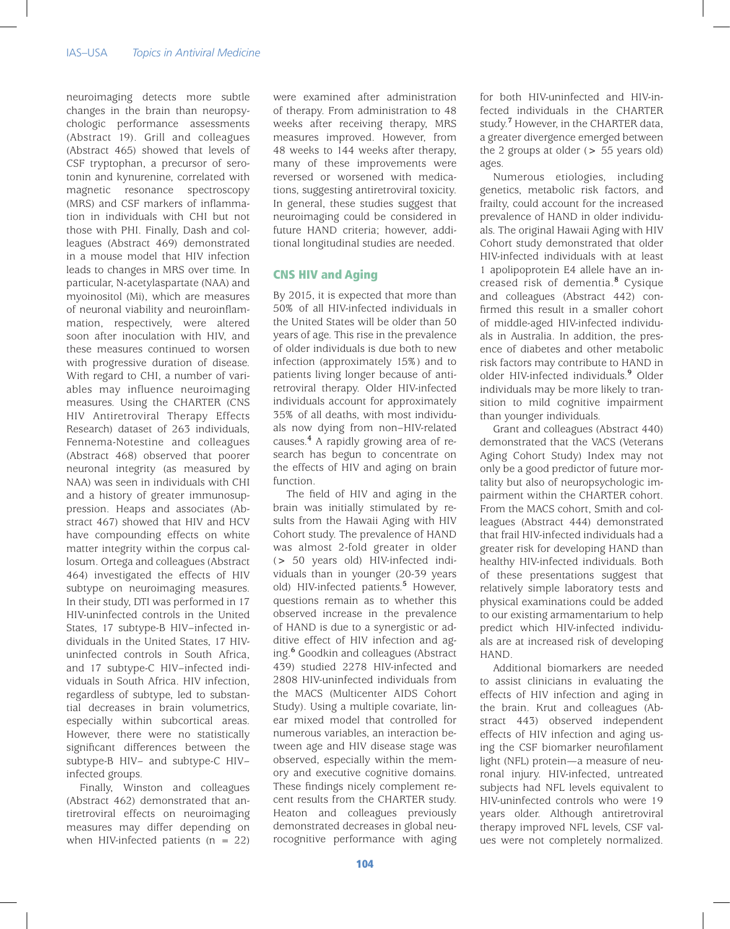neuroimaging detects more subtle changes in the brain than neuropsychologic performance assessments (Abstract 19). Grill and colleagues (Abstract 465) showed that levels of CSF tryptophan, a precursor of serotonin and kynurenine, correlated with magnetic resonance spectroscopy (MRS) and CSF markers of inflammation in individuals with CHI but not those with PHI. Finally, Dash and colleagues (Abstract 469) demonstrated in a mouse model that HIV infection leads to changes in MRS over time. In particular, N-acetylaspartate (NAA) and myoinositol (Mi), which are measures of neuronal viability and neuroinflammation, respectively, were altered soon after inoculation with HIV, and these measures continued to worsen with progressive duration of disease. With regard to CHI, a number of variables may influence neuroimaging measures. Using the CHARTER (CNS HIV Antiretroviral Therapy Effects Research) dataset of 263 individuals, Fennema-Notestine and colleagues (Abstract 468) observed that poorer neuronal integrity (as measured by NAA) was seen in individuals with CHI and a history of greater immunosuppression. Heaps and associates (Abstract 467) showed that HIV and HCV have compounding effects on white matter integrity within the corpus callosum. Ortega and colleagues (Abstract 464) investigated the effects of HIV subtype on neuroimaging measures. In their study, DTI was performed in 17 HIV-uninfected controls in the United States, 17 subtype-B HIV–infected individuals in the United States, 17 HIVuninfected controls in South Africa, and 17 subtype-C HIV–infected individuals in South Africa. HIV infection, regardless of subtype, led to substantial decreases in brain volumetrics, especially within subcortical areas. However, there were no statistically significant differences between the subtype-B HIV– and subtype-C HIV– infected groups.

Finally, Winston and colleagues (Abstract 462) demonstrated that antiretroviral effects on neuroimaging measures may differ depending on when HIV-infected patients  $(n = 22)$ 

were examined after administration of therapy. From administration to 48 weeks after receiving therapy, MRS measures improved. However, from 48 weeks to 144 weeks after therapy, many of these improvements were reversed or worsened with medications, suggesting antiretroviral toxicity. In general, these studies suggest that neuroimaging could be considered in future HAND criteria; however, additional longitudinal studies are needed.

#### CNS HIV and Aging

By 2015, it is expected that more than 50% of all HIV-infected individuals in the United States will be older than 50 years of age. This rise in the prevalence of older individuals is due both to new infection (approximately 15%) and to patients living longer because of antiretroviral therapy. Older HIV-infected individuals account for approximately 35% of all deaths, with most individuals now dying from non–HIV-related causes.**<sup>4</sup>** A rapidly growing area of research has begun to concentrate on the effects of HIV and aging on brain function.

The field of HIV and aging in the brain was initially stimulated by results from the Hawaii Aging with HIV Cohort study. The prevalence of HAND was almost 2-fold greater in older (> 50 years old) HIV-infected individuals than in younger (20-39 years old) HIV-infected patients.**<sup>5</sup>** However, questions remain as to whether this observed increase in the prevalence of HAND is due to a synergistic or additive effect of HIV infection and aging.**<sup>6</sup>** Goodkin and colleagues (Abstract 439) studied 2278 HIV-infected and 2808 HIV-uninfected individuals from the MACS (Multicenter AIDS Cohort Study). Using a multiple covariate, linear mixed model that controlled for numerous variables, an interaction between age and HIV disease stage was observed, especially within the memory and executive cognitive domains. These findings nicely complement recent results from the CHARTER study. Heaton and colleagues previously demonstrated decreases in global neurocognitive performance with aging

for both HIV-uninfected and HIV-infected individuals in the CHARTER study.**<sup>7</sup>** However, in the CHARTER data, a greater divergence emerged between the 2 groups at older  $(> 55$  years old) ages.

Numerous etiologies, including genetics, metabolic risk factors, and frailty, could account for the increased prevalence of HAND in older individuals. The original Hawaii Aging with HIV Cohort study demonstrated that older HIV-infected individuals with at least 1 apolipoprotein E4 allele have an increased risk of dementia.**<sup>8</sup>** Cysique and colleagues (Abstract 442) confirmed this result in a smaller cohort of middle-aged HIV-infected individuals in Australia. In addition, the presence of diabetes and other metabolic risk factors may contribute to HAND in older HIV-infected individuals.**<sup>9</sup>** Older individuals may be more likely to transition to mild cognitive impairment than younger individuals.

Grant and colleagues (Abstract 440) demonstrated that the VACS (Veterans Aging Cohort Study) Index may not only be a good predictor of future mortality but also of neuropsychologic impairment within the CHARTER cohort. From the MACS cohort, Smith and colleagues (Abstract 444) demonstrated that frail HIV-infected individuals had a greater risk for developing HAND than healthy HIV-infected individuals. Both of these presentations suggest that relatively simple laboratory tests and physical examinations could be added to our existing armamentarium to help predict which HIV-infected individuals are at increased risk of developing HAND.

Additional biomarkers are needed to assist clinicians in evaluating the effects of HIV infection and aging in the brain. Krut and colleagues (Abstract 443) observed independent effects of HIV infection and aging using the CSF biomarker neurofilament light (NFL) protein—a measure of neuronal injury. HIV-infected, untreated subjects had NFL levels equivalent to HIV-uninfected controls who were 19 years older. Although antiretroviral therapy improved NFL levels, CSF values were not completely normalized.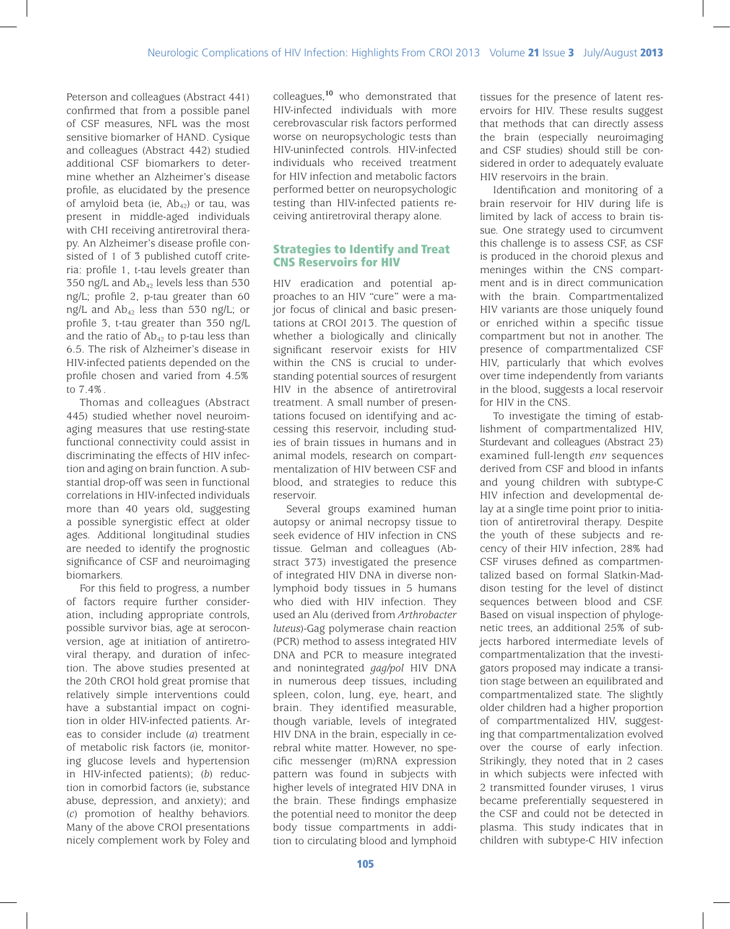Peterson and colleagues (Abstract 441) confirmed that from a possible panel of CSF measures, NFL was the most sensitive biomarker of HAND. Cysique and colleagues (Abstract 442) studied additional CSF biomarkers to determine whether an Alzheimer's disease profile, as elucidated by the presence of amyloid beta (ie,  $Ab_{42}$ ) or tau, was present in middle-aged individuals with CHI receiving antiretroviral therapy. An Alzheimer's disease profile consisted of 1 of 3 published cutoff criteria: profile 1, t-tau levels greater than 350 ng/L and  $Ab_{42}$  levels less than 530 ng/L; profile 2, p-tau greater than 60 ng/L and  $Ab_{42}$  less than 530 ng/L; or profile 3, t-tau greater than 350 ng/L and the ratio of  $Ab_{42}$  to p-tau less than 6.5. The risk of Alzheimer's disease in HIV-infected patients depended on the profile chosen and varied from 4.5% to 7.4%.

Thomas and colleagues (Abstract 445) studied whether novel neuroimaging measures that use resting-state functional connectivity could assist in discriminating the effects of HIV infection and aging on brain function. A substantial drop-off was seen in functional correlations in HIV-infected individuals more than 40 years old, suggesting a possible synergistic effect at older ages. Additional longitudinal studies are needed to identify the prognostic significance of CSF and neuroimaging biomarkers.

For this field to progress, a number of factors require further consideration, including appropriate controls, possible survivor bias, age at seroconversion, age at initiation of antiretroviral therapy, and duration of infection. The above studies presented at the 20th CROI hold great promise that relatively simple interventions could have a substantial impact on cognition in older HIV-infected patients. Areas to consider include (*a*) treatment of metabolic risk factors (ie, monitoring glucose levels and hypertension in HIV-infected patients); (*b*) reduction in comorbid factors (ie, substance abuse, depression, and anxiety); and (*c*) promotion of healthy behaviors. Many of the above CROI presentations nicely complement work by Foley and

colleagues,**<sup>10</sup>** who demonstrated that HIV-infected individuals with more cerebrovascular risk factors performed worse on neuropsychologic tests than HIV-uninfected controls. HIV-infected individuals who received treatment for HIV infection and metabolic factors performed better on neuropsychologic testing than HIV-infected patients receiving antiretroviral therapy alone.

# Strategies to Identify and Treat CNS Reservoirs for HIV

HIV eradication and potential approaches to an HIV "cure" were a major focus of clinical and basic presentations at CROI 2013. The question of whether a biologically and clinically significant reservoir exists for HIV within the CNS is crucial to understanding potential sources of resurgent HIV in the absence of antiretroviral treatment. A small number of presentations focused on identifying and accessing this reservoir, including studies of brain tissues in humans and in animal models, research on compartmentalization of HIV between CSF and blood, and strategies to reduce this reservoir.

Several groups examined human autopsy or animal necropsy tissue to seek evidence of HIV infection in CNS tissue. Gelman and colleagues (Abstract 373) investigated the presence of integrated HIV DNA in diverse nonlymphoid body tissues in 5 humans who died with HIV infection. They used an Alu (derived from *Arthrobacter luteus*)-Gag polymerase chain reaction (PCR) method to assess integrated HIV DNA and PCR to measure integrated and nonintegrated *gag/pol* HIV DNA in numerous deep tissues, including spleen, colon, lung, eye, heart, and brain. They identified measurable, though variable, levels of integrated HIV DNA in the brain, especially in cerebral white matter. However, no specific messenger (m)RNA expression pattern was found in subjects with higher levels of integrated HIV DNA in the brain. These findings emphasize the potential need to monitor the deep body tissue compartments in addition to circulating blood and lymphoid

tissues for the presence of latent reservoirs for HIV. These results suggest that methods that can directly assess the brain (especially neuroimaging and CSF studies) should still be considered in order to adequately evaluate HIV reservoirs in the brain.

Identification and monitoring of a brain reservoir for HIV during life is limited by lack of access to brain tissue. One strategy used to circumvent this challenge is to assess CSF, as CSF is produced in the choroid plexus and meninges within the CNS compartment and is in direct communication with the brain. Compartmentalized HIV variants are those uniquely found or enriched within a specific tissue compartment but not in another. The presence of compartmentalized CSF HIV, particularly that which evolves over time independently from variants in the blood, suggests a local reservoir for HIV in the CNS.

To investigate the timing of establishment of compartmentalized HIV, Sturdevant and colleagues (Abstract 23) examined full-length *env* sequences derived from CSF and blood in infants and young children with subtype-C HIV infection and developmental delay at a single time point prior to initiation of antiretroviral therapy. Despite the youth of these subjects and recency of their HIV infection, 28% had CSF viruses defined as compartmentalized based on formal Slatkin-Maddison testing for the level of distinct sequences between blood and CSF. Based on visual inspection of phylogenetic trees, an additional 25% of subjects harbored intermediate levels of compartmentalization that the investigators proposed may indicate a transition stage between an equilibrated and compartmentalized state. The slightly older children had a higher proportion of compartmentalized HIV, suggesting that compartmentalization evolved over the course of early infection. Strikingly, they noted that in 2 cases in which subjects were infected with 2 transmitted founder viruses, 1 virus became preferentially sequestered in the CSF and could not be detected in plasma. This study indicates that in children with subtype-C HIV infection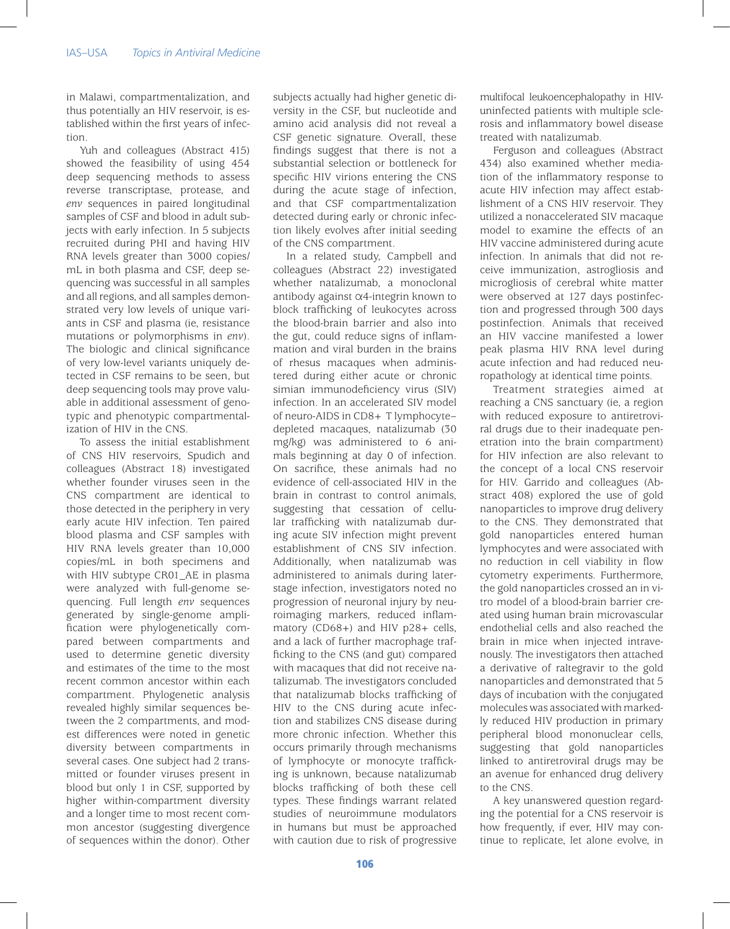in Malawi, compartmentalization, and thus potentially an HIV reservoir, is established within the first years of infection.

Yuh and colleagues (Abstract 415) showed the feasibility of using 454 deep sequencing methods to assess reverse transcriptase, protease, and *env* sequences in paired longitudinal samples of CSF and blood in adult subjects with early infection. In 5 subjects recruited during PHI and having HIV RNA levels greater than 3000 copies/ mL in both plasma and CSF, deep sequencing was successful in all samples and all regions, and all samples demonstrated very low levels of unique variants in CSF and plasma (ie, resistance mutations or polymorphisms in *env*). The biologic and clinical significance of very low-level variants uniquely detected in CSF remains to be seen, but deep sequencing tools may prove valuable in additional assessment of genotypic and phenotypic compartmentalization of HIV in the CNS.

To assess the initial establishment of CNS HIV reservoirs, Spudich and colleagues (Abstract 18) investigated whether founder viruses seen in the CNS compartment are identical to those detected in the periphery in very early acute HIV infection. Ten paired blood plasma and CSF samples with HIV RNA levels greater than 10,000 copies/mL in both specimens and with HIV subtype CR01\_AE in plasma were analyzed with full-genome sequencing. Full length *env* sequences generated by single-genome amplification were phylogenetically compared between compartments and used to determine genetic diversity and estimates of the time to the most recent common ancestor within each compartment. Phylogenetic analysis revealed highly similar sequences between the 2 compartments, and modest differences were noted in genetic diversity between compartments in several cases. One subject had 2 transmitted or founder viruses present in blood but only 1 in CSF, supported by higher within-compartment diversity and a longer time to most recent common ancestor (suggesting divergence of sequences within the donor). Other subjects actually had higher genetic diversity in the CSF, but nucleotide and amino acid analysis did not reveal a CSF genetic signature. Overall, these findings suggest that there is not a substantial selection or bottleneck for specific HIV virions entering the CNS during the acute stage of infection, and that CSF compartmentalization detected during early or chronic infection likely evolves after initial seeding of the CNS compartment.

In a related study, Campbell and colleagues (Abstract 22) investigated whether natalizumab, a monoclonal antibody against α4-integrin known to block trafficking of leukocytes across the blood-brain barrier and also into the gut, could reduce signs of inflammation and viral burden in the brains of rhesus macaques when administered during either acute or chronic simian immunodeficiency virus (SIV) infection. In an accelerated SIV model of neuro-AIDS in CD8+ T lymphocyte– depleted macaques, natalizumab (30 mg/kg) was administered to 6 animals beginning at day 0 of infection. On sacrifice, these animals had no evidence of cell-associated HIV in the brain in contrast to control animals, suggesting that cessation of cellular trafficking with natalizumab during acute SIV infection might prevent establishment of CNS SIV infection. Additionally, when natalizumab was administered to animals during laterstage infection, investigators noted no progression of neuronal injury by neuroimaging markers, reduced inflammatory (CD68+) and HIV p28+ cells, and a lack of further macrophage trafficking to the CNS (and gut) compared with macaques that did not receive natalizumab. The investigators concluded that natalizumab blocks trafficking of HIV to the CNS during acute infection and stabilizes CNS disease during more chronic infection. Whether this occurs primarily through mechanisms of lymphocyte or monocyte trafficking is unknown, because natalizumab blocks trafficking of both these cell types. These findings warrant related studies of neuroimmune modulators in humans but must be approached with caution due to risk of progressive

multifocal leukoencephalopathy in HIVuninfected patients with multiple sclerosis and inflammatory bowel disease treated with natalizumab.

Ferguson and colleagues (Abstract 434) also examined whether mediation of the inflammatory response to acute HIV infection may affect establishment of a CNS HIV reservoir. They utilized a nonaccelerated SIV macaque model to examine the effects of an HIV vaccine administered during acute infection. In animals that did not receive immunization, astrogliosis and microgliosis of cerebral white matter were observed at 127 days postinfection and progressed through 300 days postinfection. Animals that received an HIV vaccine manifested a lower peak plasma HIV RNA level during acute infection and had reduced neuropathology at identical time points.

Treatment strategies aimed at reaching a CNS sanctuary (ie, a region with reduced exposure to antiretroviral drugs due to their inadequate penetration into the brain compartment) for HIV infection are also relevant to the concept of a local CNS reservoir for HIV. Garrido and colleagues (Abstract 408) explored the use of gold nanoparticles to improve drug delivery to the CNS. They demonstrated that gold nanoparticles entered human lymphocytes and were associated with no reduction in cell viability in flow cytometry experiments. Furthermore, the gold nanoparticles crossed an in vitro model of a blood-brain barrier created using human brain microvascular endothelial cells and also reached the brain in mice when injected intravenously. The investigators then attached a derivative of raltegravir to the gold nanoparticles and demonstrated that 5 days of incubation with the conjugated molecules was associated with markedly reduced HIV production in primary peripheral blood mononuclear cells, suggesting that gold nanoparticles linked to antiretroviral drugs may be an avenue for enhanced drug delivery to the CNS.

A key unanswered question regarding the potential for a CNS reservoir is how frequently, if ever, HIV may continue to replicate, let alone evolve, in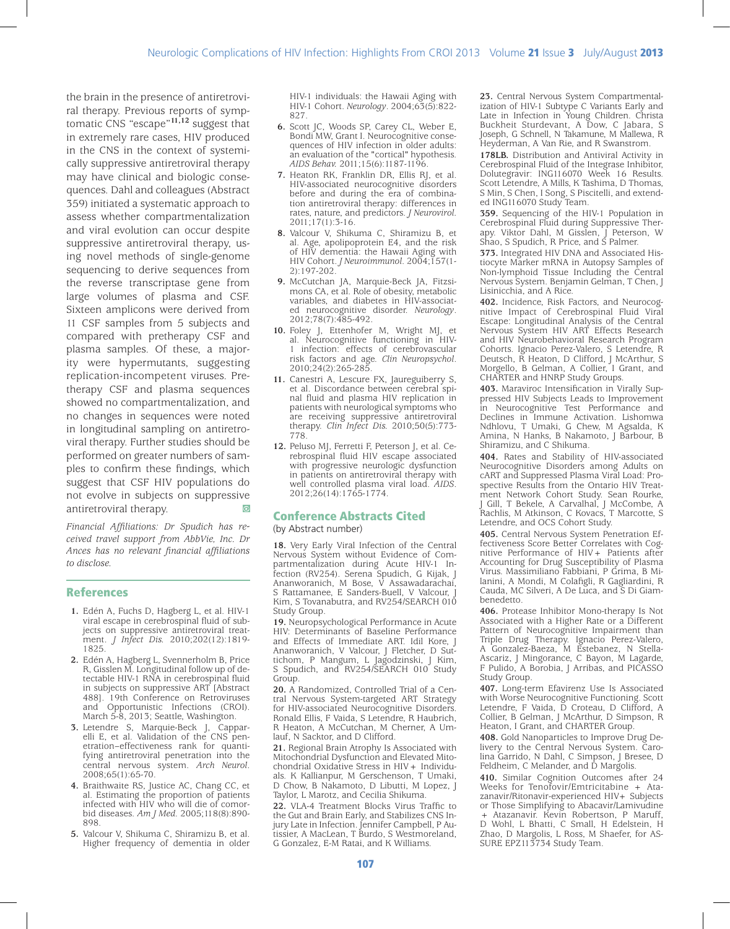the brain in the presence of antiretroviral therapy. Previous reports of symptomatic CNS "escape"**11,12** suggest that in extremely rare cases, HIV produced in the CNS in the context of systemically suppressive antiretroviral therapy may have clinical and biologic consequences. Dahl and colleagues (Abstract 359) initiated a systematic approach to assess whether compartmentalization and viral evolution can occur despite suppressive antiretroviral therapy, using novel methods of single-genome sequencing to derive sequences from the reverse transcriptase gene from large volumes of plasma and CSF. Sixteen amplicons were derived from 11 CSF samples from 5 subjects and compared with pretherapy CSF and plasma samples. Of these, a majority were hypermutants, suggesting replication-incompetent viruses. Pretherapy CSF and plasma sequences showed no compartmentalization, and no changes in sequences were noted in longitudinal sampling on antiretroviral therapy. Further studies should be performed on greater numbers of samples to confirm these findings, which suggest that CSF HIV populations do not evolve in subjects on suppressive antiretroviral therapy.

*Financial Affiliations: Dr Spudich has received travel support from AbbVie, Inc. Dr Ances has no relevant financial affiliations to disclose.*

#### References

- **1.** Edén A, Fuchs D, Hagberg L, et al. HIV-1 jects on suppressive antiretroviral treatment. *J Infect Dis.* 2010;202(12):1819- 1825.
- **2.** Edén A, Hagberg L, Svennerholm B, Price R, Gisslen M. Longitudinal follow up of detectable HIV-1 RNA in cerebrospinal fluid in subjects on suppressive ART [Abstract 488]. 19th Conference on Retroviruses and Opportunistic Infections (CROI). March 5-8, 2013; Seattle, Washington.
- **3.** Letendre S, Marquie-Beck J, Capparelli E, et al. Validation of the CNS penetration–effectiveness rank for quantifying antiretroviral penetration into the central nervous system. *Arch Neurol*. 2008;65(1):65-70.
- **4.** Braithwaite RS, Justice AC, Chang CC, et al. Estimating the proportion of patients infected with HIV who will die of comorbid diseases. *Am J Med.* 2005;118(8):890-898.
- **5.** Valcour V, Shikuma C, Shiramizu B, et al. Higher frequency of dementia in older

HIV-1 individuals: the Hawaii Aging with HIV-1 Cohort. *Neurology*. 2004;63(5):822- 827.

- **6.** Scott JC, Woods SP, Carey CL, Weber E, Bondi MW, Grant I. Neurocognitive consequences of HIV infection in older adults: an evaluation of the "cortical" hypothesis. *AIDS Behav.* 2011;15(6):1187-1196.
- **7.** Heaton RK, Franklin DR, Ellis RJ, et al. HIV-associated neurocognitive disorders before and during the era of combination antiretroviral therapy: differences in rates, nature, and predictors. *J Neurovirol.*  2011;17(1):3-16.
- **8.** Valcour V, Shikuma C, Shiramizu B, et al. Age, apolipoprotein E4, and the risk of HIV dementia: the Hawaii Aging with HIV Cohort. *J Neuroimmunol*. 2004;157(1- 2):197-202.
- **9.** McCutchan JA, Marquie-Beck JA, Fitzsimons CA, et al. Role of obesity, metabolic variables, and diabetes in HIV-associated neurocognitive disorder. *Neurology*. 2012;78(7):485-492.
- **10.** Foley J, Ettenhofer M, Wright MJ, et al. Neurocognitive functioning in HIV-1 infection: effects of cerebrovascular risk factors and age. *Clin Neuropsychol*. 2010;24(2):265-285.
- **11.** Canestri A, Lescure FX, Jaureguiberry S, et al. Discordance between cerebral spinal fluid and plasma HIV replication in patients with neurological symptoms who are receiving suppressive antiretroviral therapy. *Clin Infect Dis.* 2010;50(5):773- 778.
- **12.** Peluso MJ, Ferretti F, Peterson J, et al. Cerebrospinal fluid HIV escape associated with progressive neurologic dysfunction in patients on antiretroviral therapy with well controlled plasma viral load. *AIDS*. 2012;26(14):1765-1774.

#### Conference Abstracts Cited

(by Abstract number)

**18.** Very Early Viral Infection of the Central Nervous System without Evidence of Compartmentalization during Acute HIV-1 Infection (RV254). Serena Spudich, G Kijak, J Ananworanich, M Bose, V Assawadarachai, S Rattamanee, E Sanders-Buell, V Valcour, Kim, S Tovanabutra, and RV254/SEARCH 010 Study Group.

**19.** Neuropsychological Performance in Acute HIV: Determinants of Baseline Performance and Effects of Immediate ART. Idil Kore, J Ananworanich, V Valcour, J Fletcher, D Suttichom, P Mangum, L Jagodzinski, J Kim, S Spudich, and RV254/SEARCH 010 Study Group.

**20.** A Randomized, Controlled Trial of a Central Nervous System-targeted ART Strategy for HIV-associated Neurocognitive Disorders. Ronald Ellis, F Vaida, S Letendre, R Haubrich, R Heaton, A McCutchan, M Cherner, A Umlauf, N Sacktor, and D Clifford.

**21.** Regional Brain Atrophy Is Associated with Mitochondrial Dysfunction and Elevated Mitoals. K Kallianpur, M Gerschenson, T Umaki, D Chow, B Nakamoto, D Libutti, M Lopez, J Taylor, L Marotz, and Cecilia Shikuma.

**22.** VLA-4 Treatment Blocks Virus Traffic to the Gut and Brain Early, and Stabilizes CNS Intissier, A MacLean, T Burdo, S Westmoreland, G Gonzalez, E-M Ratai, and K Williams.

**23.** Central Nervous System Compartmentalization of HIV-1 Subtype C Variants Early and Late in Infection in Young Children. Christa Buckheit Sturdevant, A Dow, C Jabara, S Joseph, G Schnell, N Takamune, M Mallewa, R Heyderman, A Van Rie, and R Swanstrom.

**178LB.** Distribution and Antiviral Activity in Cerebrospinal Fluid of the Integrase Inhibitor, Dolutegravir: ING116070 Week 16 Results. Scott Letendre, A Mills, K Tashima, D Thomas, S Min, S Chen, I Song, S Piscitelli, and extended ING116070 Study Team.

**359.** Sequencing of the HIV-1 Population in Cerebrospinal Fluid during Suppressive Therapy. Viktor Dahl, M Gisslen, J Peterson, W Shao, S Spudich, R Price, and S Palmer.

**373.** Integrated HIV DNA and Associated Histiocyte Marker mRNA in Autopsy Samples of Non-lymphoid Tissue Including the Central Nervous System. Benjamin Gelman, T Chen, J Lisinicchia, and A Rice.

**402.** Incidence, Risk Factors, and Neurocognitive Impact of Cerebrospinal Fluid Viral Escape: Longitudinal Analysis of the Central Nervous System HIV ART Effects Research and HIV Neurobehavioral Research Program Cohorts. Ignacio Perez-Valero, S Letendre, R Deutsch, R Heaton, D Clifford, J McArthur, S Morgello, B Gelman, A Collier, I Grant, and CHARTER and HNRP Study Groups.

**403.** Maraviroc Intensification in Virally Suppressed HIV Subjects Leads to Improvement in Neurocognitive Test Performance and Declines in Immune Activation. Lishomwa Ndhlovu, T Umaki, G Chew, M Agsalda, K Amina, N Hanks, B Nakamoto, J Barbour, B Shiramizu, and C Shikuma.

**404.** Rates and Stability of HIV-associated Neurocognitive Disorders among Adults on cART and Suppressed Plasma Viral Load: Prospective Results from the Ontario HIV Treatment Network Cohort Study. Sean Rourke, J Gill, T Bekele, A Carvalhal, J McCombe, A Rachlis, M Atkinson, C Kovacs, T Marcotte, S Letendre, and OCS Cohort Study.

**405.** Central Nervous System Penetration Effectiveness Score Better Correlates with Cognitive Performance of HIV+ Patients after Accounting for Drug Susceptibility of Plasma Virus. Massimiliano Fabbiani, P Grima, B Milanini, A Mondi, M Colafigli, R Gagliardini, R Cauda, MC Silveri, A De Luca, and S Di Giambenedetto.

**406.** Protease Inhibitor Mono-therapy Is Not Associated with a Higher Rate or a Different Pattern of Neurocognitive Impairment than Triple Drug Therapy. Ignacio Perez-Valero, A Gonzalez-Baeza, M Estebanez, N Stella-Ascariz, J Mingorance, C Bayon, M Lagarde, F Pulido, A Borobia, J Arribas, and PICASSO Study Group.

**407.** Long-term Efavirenz Use Is Associated with Worse Neurocognitive Functioning. Scott Letendre, F Vaida, D Croteau, D Clifford, A Collier, B Gelman, J McArthur, D Simpson, R Heaton, I Grant, and CHARTER Group.

**408.** Gold Nanoparticles to Improve Drug Delivery to the Central Nervous System. Carolina Garrido, N Dahl, C Simpson, J Bresee, D Feldheim, C Melander, and D Margolis

**410.** Similar Cognition Outcomes after 24 zanavir/Ritonavir-experienced HIV+ Subjects or Those Simplifying to Abacavir/Lamivudine + Atazanavir. Kevin Robertson, P Maruff, D Wohl, L Bhatti, C Small, H Edelstein, H Zhao, D Margolis, L Ross, M Shaefer, for AS-SURE EPZ113734 Study Team.